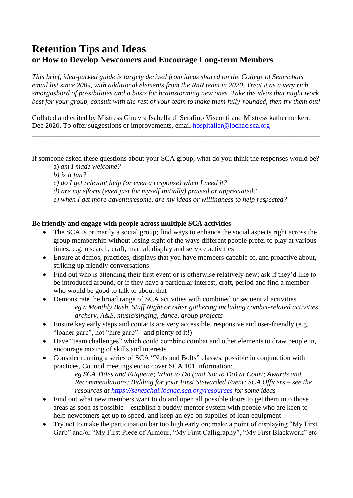# **Retention Tips and Ideas or How to Develop Newcomers and Encourage Long-term Members**

*This brief, idea-packed guide is largely derived from ideas shared on the College of Seneschals email list since 2009, with additional elements from the RnR team in 2020. Treat it as a very rich smorgasbord of possibilities and a basis for brainstorming new ones. Take the ideas that might work best for your group, consult with the rest of your team to make them fully-rounded, then try them out!* 

Collated and edited by Mistress Ginevra Isabella di Serafino Visconti and Mistress katherine kerr, Dec 2020. To offer suggestions or improvements, email [hospitaller@lochac.sca.org](mailto:hospitaller@lochac.sca.org)

If someone asked these questions about your SCA group, what do you think the responses would be?

\_\_\_\_\_\_\_\_\_\_\_\_\_\_\_\_\_\_\_\_\_\_\_\_\_\_\_\_\_\_\_\_\_\_\_\_\_\_\_\_\_\_\_\_\_\_\_\_\_\_\_\_\_\_\_\_\_\_\_\_\_\_\_\_\_\_\_\_\_\_\_\_\_\_\_\_\_\_\_\_\_

a) *am I made welcome?*

*b) is it fun?*

*c) do I get relevant help (or even a response) when I need it?*

*d) are my efforts (even just for myself initially) praised or appreciated?*

*e) when I get more adventuresome, are my ideas or willingness to help respected?*

# **Be friendly and engage with people across multiple SCA activities**

- The SCA is primarily a social group; find ways to enhance the social aspects right across the group membership without losing sight of the ways different people prefer to play at various times, e.g. research, craft, martial, display and service activities
- Ensure at demos, practices, displays that you have members capable of, and proactive about, striking up friendly conversations
- Find out who is attending their first event or is otherwise relatively new; ask if they'd like to be introduced around, or if they have a particular interest, craft, period and find a member who would be good to talk to about that
- Demonstrate the broad range of SCA activities with combined or sequential activities *eg a Monthly Bash, Stuff Night or other gathering including combat-related activities, archery, A&S, music/singing, dance, group projects*
- Ensure key early steps and contacts are very accessible, responsive and user-friendly (e.g. "loaner garb", not "hire garb" - and plenty of it!)
- Have "team challenges" which could combine combat and other elements to draw people in, encourage mixing of skills and interests
- Consider running a series of SCA "Nuts and Bolts" classes, possible in conjunction with practices, Council meetings etc to cover SCA 101 information:

*eg SCA Titles and Etiquette; What to Do (and Not to Do) at Court; Awards and Recommendations; Bidding for your First Stewarded Event; SCA Officers – see the resources at<https://seneschal.lochac.sca.org/resources> for some ideas*

- Find out what new members want to do and open all possible doors to get them into those areas as soon as possible – establish a buddy/ mentor system with people who are keen to help newcomers get up to speed, and keep an eye on supplies of loan equipment
- Try not to make the participation bar too high early on; make a point of displaying "My First Garb" and/or "My First Piece of Armour, "My First Calligraphy", "My First Blackwork" etc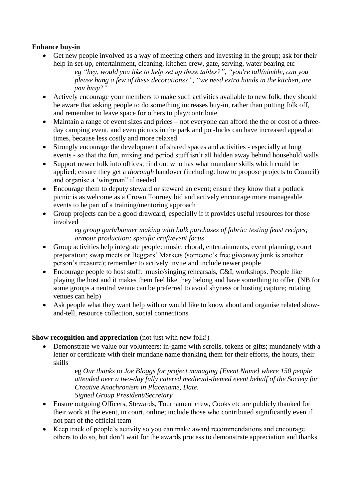# **Enhance buy-in**

• Get new people involved as a way of meeting others and investing in the group; ask for their help in set-up, entertainment, cleaning, kitchen crew, gate, serving, water bearing etc

*eg "hey, would you like to help set up these tables?", "you're tall/nimble, can you please hang a few of these decorations?", "we need extra hands in the kitchen, are you busy?"*

- Actively encourage your members to make such activities available to new folk; they should be aware that asking people to do something increases buy-in, rather than putting folk off, and remember to leave space for others to play/contribute
- Maintain a range of event sizes and prices not everyone can afford the the or cost of a threeday camping event, and even picnics in the park and pot-lucks can have increased appeal at times, because less costly and more relaxed
- Strongly encourage the development of shared spaces and activities especially at long events - so that the fun, mixing and period stuff isn't all hidden away behind household walls
- Support newer folk into offices; find out who has what mundane skills which could be applied; ensure they get a *thorough* handover (including: how to propose projects to Council) and organise a 'wingman" if needed
- Encourage them to deputy steward or steward an event; ensure they know that a potluck picnic is as welcome as a Crown Tourney bid and actively encourage more manageable events to be part of a training/mentoring approach
- Group projects can be a good drawcard, especially if it provides useful resources for those involved

*eg group garb/banner making with bulk purchases of fabric; testing feast recipes; armour production; specific craft/event focus* 

- Group activities help integrate people: music, choral, entertainments, event planning, court preparation; swap meets or Beggars' Markets (someone's free giveaway junk is another person's treasure); remember to actively invite and include newer people
- Encourage people to host stuff: music/singing rehearsals, C&I, workshops. People like playing the host and it makes them feel like they belong and have something to offer. (NB for some groups a neutral venue can be preferred to avoid shyness or hosting capture; rotating venues can help)
- Ask people what they want help with or would like to know about and organise related showand-tell, resource collection, social connections

# **Show recognition and appreciation** (not just with new folk!)

• Demonstrate we value our volunteers: in-game with scrolls, tokens or gifts; mundanely with a letter or certificate with their mundane name thanking them for their efforts, the hours, their skills

> eg *Our thanks to Joe Bloggs for project managing [Event Name] where 150 people attended over a two-day fully catered medieval-themed event behalf of the Society for Creative Anachronism in Placename, Date. Signed Group President/Secretary*

- Ensure outgoing Officers, Stewards, Tournament crew, Cooks etc are publicly thanked for their work at the event, in court, online; include those who contributed significantly even if not part of the official team
- Keep track of people's activity so you can make award recommendations and encourage others to do so, but don't wait for the awards process to demonstrate appreciation and thanks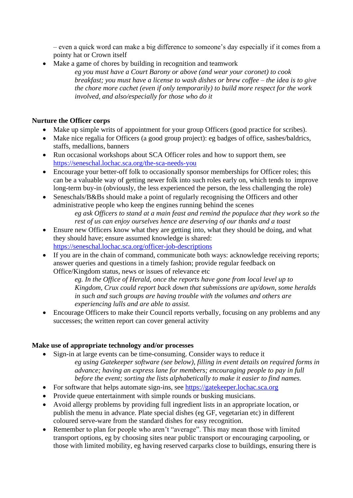– even a quick word can make a big difference to someone's day especially if it comes from a pointy hat or Crown itself

• Make a game of chores by building in recognition and teamwork

*eg you must have a Court Barony or above (and wear your coronet) to cook breakfast; you must have a license to wash dishes or brew coffee – the idea is to give the chore more cachet (even if only temporarily) to build more respect for the work involved, and also/especially for those who do it*

# **Nurture the Officer corps**

- Make up simple writs of appointment for your group Officers (good practice for scribes).
- Make nice regalia for Officers (a good group project): eg badges of office, sashes/baldrics, staffs, medallions, banners
- Run occasional workshops about SCA Officer roles and how to support them, see <https://seneschal.lochac.sca.org/the-sca-needs-you>
- Encourage your better-off folk to occasionally sponsor memberships for Officer roles; this can be a valuable way of getting newer folk into such roles early on, which tends to improve long-term buy-in (obviously, the less experienced the person, the less challenging the role)
- Seneschals/B&Bs should make a point of regularly recognising the Officers and other administrative people who keep the engines running behind the scenes *eg ask Officers to stand at a main feast and remind the populace that they work so the rest of us can enjoy ourselves hence are deserving of our thanks and a toast*
- Ensure new Officers know what they are getting into, what they should be doing, and what they should have; ensure assumed knowledge is shared: <https://seneschal.lochac.sca.org/officer-job-descriptions>
- If you are in the chain of command, communicate both ways: acknowledge receiving reports; answer queries and questions in a timely fashion; provide regular feedback on Office/Kingdom status, news or issues of relevance etc

*eg. In the Office of Herald, once the reports have gone from local level up to Kingdom, Crux could report back down that submissions are up/down, some heralds in such and such groups are having trouble with the volumes and others are experiencing lulls and are able to assist.*

• Encourage Officers to make their Council reports verbally, focusing on any problems and any successes; the written report can cover general activity

# **Make use of appropriate technology and/or processes**

- Sign-in at large events can be time-consuming. Consider ways to reduce it *eg using Gatekeeper software (see below), filling in event details on required forms in advance; having an express lane for members; encouraging people to pay in full before the event; sorting the lists alphabetically to make it easier to find names.*
- For software that helps automate sign-ins, see [https://gatekeeper.lochac.sca.org](https://gatekeeper.lochac.sca.org/)
- Provide queue entertainment with simple rounds or busking musicians.
- Avoid allergy problems by providing full ingredient lists in an appropriate location, or publish the menu in advance. Plate special dishes (eg GF, vegetarian etc) in different coloured serve-ware from the standard dishes for easy recognition.
- Remember to plan for people who aren't "average". This may mean those with limited transport options, eg by choosing sites near public transport or encouraging carpooling, or those with limited mobility, eg having reserved carparks close to buildings, ensuring there is